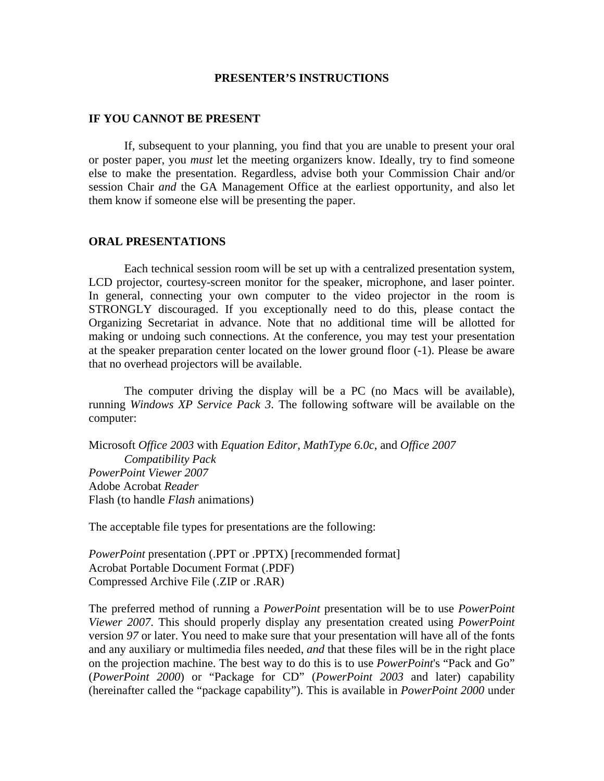## **PRESENTER'S INSTRUCTIONS**

## **IF YOU CANNOT BE PRESENT**

 If, subsequent to your planning, you find that you are unable to present your oral or poster paper, you *must* let the meeting organizers know. Ideally, try to find someone else to make the presentation. Regardless, advise both your Commission Chair and/or session Chair *and* the GA Management Office at the earliest opportunity, and also let them know if someone else will be presenting the paper.

## **ORAL PRESENTATIONS**

 Each technical session room will be set up with a centralized presentation system, LCD projector, courtesy-screen monitor for the speaker, microphone, and laser pointer. In general, connecting your own computer to the video projector in the room is STRONGLY discouraged. If you exceptionally need to do this, please contact the Organizing Secretariat in advance. Note that no additional time will be allotted for making or undoing such connections. At the conference, you may test your presentation at the speaker preparation center located on the lower ground floor (-1). Please be aware that no overhead projectors will be available.

 The computer driving the display will be a PC (no Macs will be available), running *Windows XP Service Pack 3*. The following software will be available on the computer:

Microsoft *Office 2003* with *Equation Editor*, *MathType 6.0c*, and *Office 2007 Compatibility Pack PowerPoint Viewer 2007*  Adobe Acrobat *Reader* Flash (to handle *Flash* animations)

The acceptable file types for presentations are the following:

*PowerPoint* presentation (.PPT or .PPTX) [recommended format] Acrobat Portable Document Format (.PDF) Compressed Archive File (.ZIP or .RAR)

The preferred method of running a *PowerPoint* presentation will be to use *PowerPoint Viewer 2007*. This should properly display any presentation created using *PowerPoint* version *97* or later. You need to make sure that your presentation will have all of the fonts and any auxiliary or multimedia files needed, *and* that these files will be in the right place on the projection machine. The best way to do this is to use *PowerPoint*'s "Pack and Go" (*PowerPoint 2000*) or "Package for CD" (*PowerPoint 2003* and later) capability (hereinafter called the "package capability"). This is available in *PowerPoint 2000* under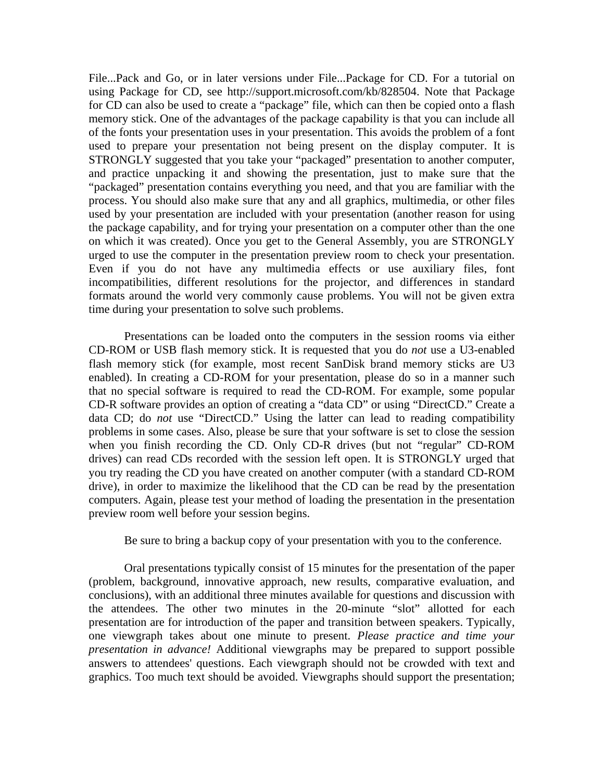File...Pack and Go, or in later versions under File...Package for CD. For a tutorial on using Package for CD, see http://support.microsoft.com/kb/828504. Note that Package for CD can also be used to create a "package" file, which can then be copied onto a flash memory stick. One of the advantages of the package capability is that you can include all of the fonts your presentation uses in your presentation. This avoids the problem of a font used to prepare your presentation not being present on the display computer. It is STRONGLY suggested that you take your "packaged" presentation to another computer, and practice unpacking it and showing the presentation, just to make sure that the "packaged" presentation contains everything you need, and that you are familiar with the process. You should also make sure that any and all graphics, multimedia, or other files used by your presentation are included with your presentation (another reason for using the package capability, and for trying your presentation on a computer other than the one on which it was created). Once you get to the General Assembly, you are STRONGLY urged to use the computer in the presentation preview room to check your presentation. Even if you do not have any multimedia effects or use auxiliary files, font incompatibilities, different resolutions for the projector, and differences in standard formats around the world very commonly cause problems. You will not be given extra time during your presentation to solve such problems.

 Presentations can be loaded onto the computers in the session rooms via either CD-ROM or USB flash memory stick. It is requested that you do *not* use a U3-enabled flash memory stick (for example, most recent SanDisk brand memory sticks are U3 enabled). In creating a CD-ROM for your presentation, please do so in a manner such that no special software is required to read the CD-ROM. For example, some popular CD-R software provides an option of creating a "data CD" or using "DirectCD." Create a data CD; do *not* use "DirectCD." Using the latter can lead to reading compatibility problems in some cases. Also, please be sure that your software is set to close the session when you finish recording the CD. Only CD-R drives (but not "regular" CD-ROM drives) can read CDs recorded with the session left open. It is STRONGLY urged that you try reading the CD you have created on another computer (with a standard CD-ROM drive), in order to maximize the likelihood that the CD can be read by the presentation computers. Again, please test your method of loading the presentation in the presentation preview room well before your session begins.

Be sure to bring a backup copy of your presentation with you to the conference.

 Oral presentations typically consist of 15 minutes for the presentation of the paper (problem, background, innovative approach, new results, comparative evaluation, and conclusions), with an additional three minutes available for questions and discussion with the attendees. The other two minutes in the 20-minute "slot" allotted for each presentation are for introduction of the paper and transition between speakers. Typically, one viewgraph takes about one minute to present. *Please practice and time your presentation in advance!* Additional viewgraphs may be prepared to support possible answers to attendees' questions. Each viewgraph should not be crowded with text and graphics. Too much text should be avoided. Viewgraphs should support the presentation;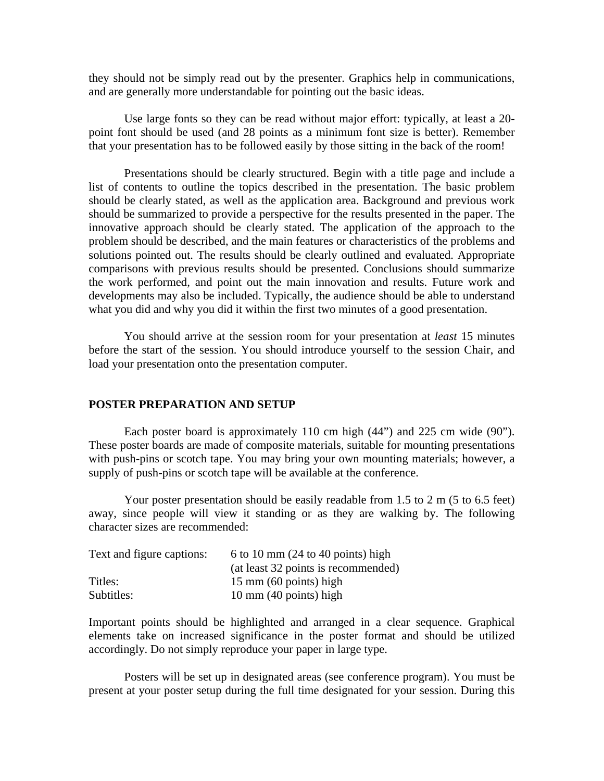they should not be simply read out by the presenter. Graphics help in communications, and are generally more understandable for pointing out the basic ideas.

 Use large fonts so they can be read without major effort: typically, at least a 20 point font should be used (and 28 points as a minimum font size is better). Remember that your presentation has to be followed easily by those sitting in the back of the room!

 Presentations should be clearly structured. Begin with a title page and include a list of contents to outline the topics described in the presentation. The basic problem should be clearly stated, as well as the application area. Background and previous work should be summarized to provide a perspective for the results presented in the paper. The innovative approach should be clearly stated. The application of the approach to the problem should be described, and the main features or characteristics of the problems and solutions pointed out. The results should be clearly outlined and evaluated. Appropriate comparisons with previous results should be presented. Conclusions should summarize the work performed, and point out the main innovation and results. Future work and developments may also be included. Typically, the audience should be able to understand what you did and why you did it within the first two minutes of a good presentation.

 You should arrive at the session room for your presentation at *least* 15 minutes before the start of the session. You should introduce yourself to the session Chair, and load your presentation onto the presentation computer.

## **POSTER PREPARATION AND SETUP**

 Each poster board is approximately 110 cm high (44") and 225 cm wide (90"). These poster boards are made of composite materials, suitable for mounting presentations with push-pins or scotch tape. You may bring your own mounting materials; however, a supply of push-pins or scotch tape will be available at the conference.

 Your poster presentation should be easily readable from 1.5 to 2 m (5 to 6.5 feet) away, since people will view it standing or as they are walking by. The following character sizes are recommended:

| Text and figure captions: | 6 to 10 mm $(24 \text{ to } 40 \text{ points})$ high |
|---------------------------|------------------------------------------------------|
|                           | (at least 32 points is recommended)                  |
| Titles:                   | $15 \text{ mm}$ (60 points) high                     |
| Subtitles:                | $10 \text{ mm}$ (40 points) high                     |

Important points should be highlighted and arranged in a clear sequence. Graphical elements take on increased significance in the poster format and should be utilized accordingly. Do not simply reproduce your paper in large type.

 Posters will be set up in designated areas (see conference program). You must be present at your poster setup during the full time designated for your session. During this